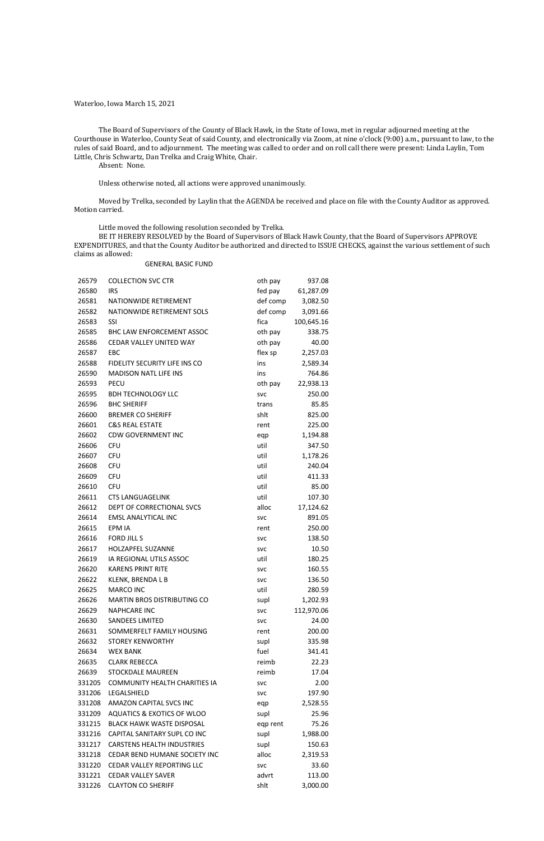#### Waterloo, Iowa March 15, 2021

The Board of Supervisors of the County of Black Hawk, in the State of Iowa, met in regular adjourned meeting at the Courthouse in Waterloo, County Seat of said County, and electronically via Zoom, at nine o'clock (9:00) a.m., pursuant to law, to the rules of said Board, and to adjournment. The meeting was called to order and on roll call there were present: Linda Laylin, Tom Little, Chris Schwartz, Dan Trelka and Craig White, Chair.

Absent: None.

Unless otherwise noted, all actions were approved unanimously.

Moved by Trelka, seconded by Laylin that the AGENDA be received and place on file with the County Auditor as approved. Motion carried.

Little moved the following resolution seconded by Trelka.

BE IT HEREBY RESOLVED by the Board of Supervisors of Black Hawk County, that the Board of Supervisors APPROVE EXPENDITURES, and that the County Auditor be authorized and directed to ISSUE CHECKS, against the various settlement of such claims as allowed:

#### GENERAL BASIC FUND

| 26579  | <b>COLLECTION SVC CTR</b>             | oth pay    | 937.08     |
|--------|---------------------------------------|------------|------------|
| 26580  | <b>IRS</b>                            | fed pay    | 61,287.09  |
| 26581  | NATIONWIDE RETIREMENT                 | def comp   | 3,082.50   |
| 26582  | NATIONWIDE RETIREMENT SOLS            | def comp   | 3,091.66   |
| 26583  | SSI                                   | fica       | 100,645.16 |
| 26585  | BHC LAW ENFORCEMENT ASSOC             | oth pay    | 338.75     |
| 26586  | <b>CEDAR VALLEY UNITED WAY</b>        | oth pay    | 40.00      |
| 26587  | EBC                                   | flex sp    | 2,257.03   |
| 26588  | FIDELITY SECURITY LIFE INS CO         | ins        | 2,589.34   |
| 26590  | <b>MADISON NATL LIFE INS</b>          | ins        | 764.86     |
| 26593  | <b>PECU</b>                           | oth pay    | 22,938.13  |
| 26595  | <b>BDH TECHNOLOGY LLC</b>             | <b>SVC</b> | 250.00     |
| 26596  | <b>BHC SHERIFF</b>                    | trans      | 85.85      |
| 26600  | <b>BREMER CO SHERIFF</b>              | shlt       | 825.00     |
| 26601  | <b>C&amp;S REAL ESTATE</b>            | rent       | 225.00     |
| 26602  | <b>CDW GOVERNMENT INC</b>             | eqp        | 1,194.88   |
| 26606  | <b>CFU</b>                            | util       | 347.50     |
| 26607  | <b>CFU</b>                            | util       | 1,178.26   |
| 26608  | <b>CFU</b>                            | util       | 240.04     |
| 26609  | <b>CFU</b>                            | util       | 411.33     |
| 26610  | <b>CFU</b>                            | util       | 85.00      |
| 26611  | <b>CTS LANGUAGELINK</b>               | util       | 107.30     |
| 26612  | DEPT OF CORRECTIONAL SVCS             | alloc      | 17,124.62  |
| 26614  | <b>EMSL ANALYTICAL INC</b>            | <b>SVC</b> | 891.05     |
| 26615  | EPM IA                                | rent       | 250.00     |
| 26616  | <b>FORD JILL S</b>                    | <b>SVC</b> | 138.50     |
| 26617  | HOLZAPFEL SUZANNE                     | <b>SVC</b> | 10.50      |
| 26619  | IA REGIONAL UTILS ASSOC               | util       | 180.25     |
| 26620  | <b>KARENS PRINT RITE</b>              | <b>SVC</b> | 160.55     |
| 26622  | KLENK, BRENDA L B                     | <b>SVC</b> | 136.50     |
| 26625  | <b>MARCO INC</b>                      | util       | 280.59     |
| 26626  | MARTIN BROS DISTRIBUTING CO           | supl       | 1,202.93   |
| 26629  | <b>NAPHCARE INC</b>                   | <b>SVC</b> | 112,970.06 |
| 26630  | <b>SANDEES LIMITED</b>                | <b>SVC</b> | 24.00      |
| 26631  | SOMMERFELT FAMILY HOUSING             | rent       | 200.00     |
| 26632  | <b>STOREY KENWORTHY</b>               | supl       | 335.98     |
| 26634  | <b>WEX BANK</b>                       | fuel       | 341.41     |
| 26635  | <b>CLARK REBECCA</b>                  | reimb      | 22.23      |
| 26639  | <b>STOCKDALE MAUREEN</b>              | reimb      | 17.04      |
| 331205 | <b>COMMUNITY HEALTH CHARITIES IA</b>  | <b>SVC</b> | 2.00       |
| 331206 | LEGALSHIELD                           | <b>SVC</b> | 197.90     |
| 331208 | AMAZON CAPITAL SVCS INC               | eqp        | 2,528.55   |
| 331209 | <b>AQUATICS &amp; EXOTICS OF WLOO</b> | supl       | 25.96      |
| 331215 | <b>BLACK HAWK WASTE DISPOSAL</b>      | eqp rent   | 75.26      |
| 331216 | CAPITAL SANITARY SUPL CO INC          | supl       | 1,988.00   |
| 331217 | <b>CARSTENS HEALTH INDUSTRIES</b>     | supl       | 150.63     |
| 331218 | CEDAR BEND HUMANE SOCIETY INC         | alloc      | 2,319.53   |
| 331220 | <b>CEDAR VALLEY REPORTING LLC</b>     | <b>SVC</b> | 33.60      |
| 331221 | <b>CEDAR VALLEY SAVER</b>             | advrt      | 113.00     |
| 331226 | <b>CLAYTON CO SHERIFF</b>             | shlt       | 3,000.00   |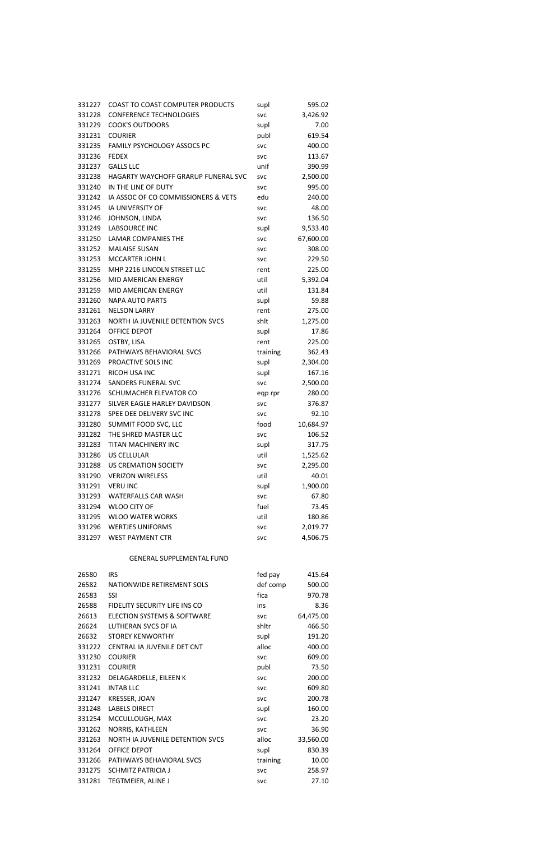| 331227 | <b>COAST TO COAST COMPUTER PRODUCTS</b> | supl       | 595.02    |
|--------|-----------------------------------------|------------|-----------|
| 331228 | <b>CONFERENCE TECHNOLOGIES</b>          | <b>SVC</b> | 3,426.92  |
| 331229 | <b>COOK'S OUTDOORS</b>                  | supl       | 7.00      |
| 331231 | <b>COURIER</b>                          | publ       | 619.54    |
| 331235 | FAMILY PSYCHOLOGY ASSOCS PC             | <b>SVC</b> | 400.00    |
| 331236 | <b>FEDEX</b>                            | <b>SVC</b> | 113.67    |
| 331237 | <b>GALLS LLC</b>                        | unif       | 390.99    |
| 331238 | HAGARTY WAYCHOFF GRARUP FUNERAL SVC     | <b>SVC</b> | 2,500.00  |
| 331240 | IN THE LINE OF DUTY                     | <b>SVC</b> | 995.00    |
| 331242 | IA ASSOC OF CO COMMISSIONERS & VETS     | edu        | 240.00    |
| 331245 | <b>IA UNIVERSITY OF</b>                 | <b>SVC</b> | 48.00     |
| 331246 | JOHNSON, LINDA                          | <b>SVC</b> | 136.50    |
| 331249 | <b>LABSOURCE INC</b>                    | supl       | 9,533.40  |
| 331250 | <b>LAMAR COMPANIES THE</b>              | <b>SVC</b> | 67,600.00 |
| 331252 | <b>MALAISE SUSAN</b>                    | <b>SVC</b> | 308.00    |
| 331253 | <b>MCCARTER JOHN L</b>                  | <b>SVC</b> | 229.50    |
| 331255 | MHP 2216 LINCOLN STREET LLC             | rent       | 225.00    |
| 331256 | MID AMERICAN ENERGY                     | util       | 5,392.04  |
| 331259 | MID AMERICAN ENERGY                     | util       | 131.84    |
| 331260 | <b>NAPA AUTO PARTS</b>                  | supl       | 59.88     |
| 331261 | <b>NELSON LARRY</b>                     | rent       | 275.00    |
| 331263 | NORTH IA JUVENILE DETENTION SVCS        | shlt       | 1,275.00  |
| 331264 | OFFICE DEPOT                            | supl       | 17.86     |
| 331265 | OSTBY, LISA                             | rent       | 225.00    |
| 331266 | PATHWAYS BEHAVIORAL SVCS                | training   | 362.43    |
| 331269 | PROACTIVE SOLS INC                      | supl       | 2,304.00  |
| 331271 | RICOH USA INC                           | supl       | 167.16    |
| 331274 | <b>SANDERS FUNERAL SVC</b>              | <b>SVC</b> | 2,500.00  |
| 331276 | SCHUMACHER ELEVATOR CO                  | eqp rpr    | 280.00    |
| 331277 | SILVER EAGLE HARLEY DAVIDSON            | <b>SVC</b> | 376.87    |
| 331278 | SPEE DEE DELIVERY SVC INC               | <b>SVC</b> | 92.10     |
| 331280 | SUMMIT FOOD SVC, LLC                    | food       | 10,684.97 |
| 331282 | THE SHRED MASTER LLC                    | <b>SVC</b> | 106.52    |
| 331283 | TITAN MACHINERY INC                     | supl       | 317.75    |
| 331286 | <b>US CELLULAR</b>                      | util       | 1,525.62  |
| 331288 | <b>US CREMATION SOCIETY</b>             | <b>SVC</b> | 2,295.00  |
| 331290 | <b>VERIZON WIRELESS</b>                 | util       | 40.01     |
| 331291 | <b>VERU INC</b>                         | supl       | 1,900.00  |
| 331293 | <b>WATERFALLS CAR WASH</b>              | <b>SVC</b> | 67.80     |
| 331294 | <b>WLOO CITY OF</b>                     | fuel       | 73.45     |
| 331295 | <b>WLOO WATER WORKS</b>                 | util       | 180.86    |
| 331296 | <b>WERTJES UNIFORMS</b>                 | <b>SVC</b> | 2,019.77  |
| 331297 | <b>WEST PAYMENT CTR</b>                 | <b>SVC</b> | 4,506.75  |
|        | <b>GENERAL SUPPLEMENTAL FUND</b>        |            |           |
| 26580  | <b>IRS</b>                              | fed pay    | 415.64    |
| 26582  | NATIONWIDE RETIREMENT SOLS              | def comp   | 500.00    |
| 26583  | SSI                                     | fica       | 970.78    |
| 26588  | FIDELITY SECURITY LIFE INS CO           | ins        | 8.36      |
| 26613  | <b>ELECTION SYSTEMS &amp; SOFTWARE</b>  | <b>SVC</b> | 64,475.00 |

| 26613  | <b>ELECTION SYSTEMS &amp; SOFTWARE</b> | <b>SVC</b> | 64,475.00 |
|--------|----------------------------------------|------------|-----------|
| 26624  | LUTHERAN SVCS OF IA                    | shitr      | 466.50    |
| 26632  | <b>STOREY KENWORTHY</b>                | supl       | 191.20    |
| 331222 | CENTRAL IA JUVENILE DET CNT            | alloc      | 400.00    |
| 331230 | <b>COURIER</b>                         | <b>SVC</b> | 609.00    |
| 331231 | <b>COURIER</b>                         | publ       | 73.50     |
| 331232 | DELAGARDELLE, EILEEN K                 | <b>SVC</b> | 200.00    |
| 331241 | <b>INTABLLC</b>                        | <b>SVC</b> | 609.80    |
| 331247 | <b>KRESSER, JOAN</b>                   | <b>SVC</b> | 200.78    |
| 331248 | <b>LABELS DIRECT</b>                   | supl       | 160.00    |
| 331254 | MCCULLOUGH, MAX                        | <b>SVC</b> | 23.20     |
| 331262 | NORRIS, KATHLEEN                       | <b>SVC</b> | 36.90     |
| 331263 | NORTH IA JUVENILE DETENTION SVCS       | alloc      | 33,560.00 |
| 331264 | OFFICE DEPOT                           | supl       | 830.39    |
| 331266 | PATHWAYS BEHAVIORAL SVCS               | training   | 10.00     |
| 331275 | SCHMITZ PATRICIA J                     | <b>SVC</b> | 258.97    |
| 331281 | TEGTMEIER, ALINE J                     | <b>SVC</b> | 27.10     |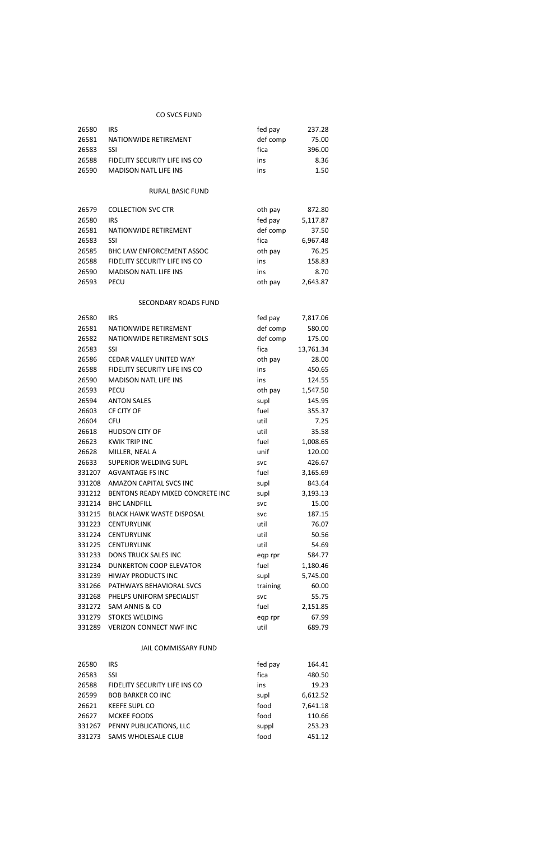## CO SVCS FUND

| 26580 | <b>IRS</b>                    | fed pay  | 237.28 |
|-------|-------------------------------|----------|--------|
| 26581 | NATIONWIDE RETIREMENT         | def comp | 75.00  |
| 26583 | <b>SSI</b>                    | fica     | 396.00 |
| 26588 | FIDELITY SECURITY LIFE INS CO | ins      | 8.36   |
| 26590 | <b>MADISON NATL LIFE INS</b>  | ins      | 1.50   |

# RURAL BASIC FUND

| 26579 | <b>COLLECTION SVC CTR</b>        | oth pay  | 872.80   |
|-------|----------------------------------|----------|----------|
| 26580 | <b>IRS</b>                       | fed pay  | 5,117.87 |
| 26581 | NATIONWIDE RETIREMENT            | def comp | 37.50    |
| 26583 | SSI                              | fica     | 6,967.48 |
| 26585 | <b>BHC LAW ENFORCEMENT ASSOC</b> | oth pay  | 76.25    |
| 26588 | FIDELITY SECURITY LIFE INS CO    | ins      | 158.83   |
| 26590 | <b>MADISON NATL LIFE INS</b>     | ins      | 8.70     |
| 26593 | <b>PECU</b>                      | oth pay  | 2,643.87 |

#### SECONDARY ROADS FUND

| 26580  | <b>IRS</b>                       | fed pay    | 7,817.06  |
|--------|----------------------------------|------------|-----------|
| 26581  | NATIONWIDE RETIREMENT            | def comp   | 580.00    |
| 26582  | NATIONWIDE RETIREMENT SOLS       | def comp   | 175.00    |
| 26583  | SSI                              | fica       | 13,761.34 |
| 26586  | <b>CEDAR VALLEY UNITED WAY</b>   | oth pay    | 28.00     |
| 26588  | FIDELITY SECURITY LIFE INS CO    | ins        | 450.65    |
| 26590  | <b>MADISON NATL LIFE INS</b>     | ins        | 124.55    |
| 26593  | <b>PECU</b>                      | oth pay    | 1,547.50  |
| 26594  | <b>ANTON SALES</b>               | supl       | 145.95    |
| 26603  | CF CITY OF                       | fuel       | 355.37    |
| 26604  | <b>CFU</b>                       | util       | 7.25      |
| 26618  | <b>HUDSON CITY OF</b>            | util       | 35.58     |
| 26623  | <b>KWIK TRIP INC</b>             | fuel       | 1,008.65  |
| 26628  | MILLER, NEAL A                   | unif       | 120.00    |
| 26633  | <b>SUPERIOR WELDING SUPL</b>     | <b>SVC</b> | 426.67    |
| 331207 | <b>AGVANTAGE FS INC</b>          | fuel       | 3,165.69  |
| 331208 | AMAZON CAPITAL SVCS INC          | supl       | 843.64    |
| 331212 | BENTONS READY MIXED CONCRETE INC | supl       | 3,193.13  |
| 331214 | <b>BHC LANDFILL</b>              | <b>SVC</b> | 15.00     |
| 331215 | <b>BLACK HAWK WASTE DISPOSAL</b> | <b>SVC</b> | 187.15    |
| 331223 | <b>CENTURYLINK</b>               | util       | 76.07     |
| 331224 | <b>CENTURYLINK</b>               | util       | 50.56     |
| 331225 | <b>CENTURYLINK</b>               | util       | 54.69     |
| 331233 | <b>DONS TRUCK SALES INC</b>      | eqp rpr    | 584.77    |
| 331234 | <b>DUNKERTON COOP ELEVATOR</b>   | fuel       | 1,180.46  |
| 331239 | <b>HIWAY PRODUCTS INC</b>        | supl       | 5,745.00  |
| 331266 | PATHWAYS BEHAVIORAL SVCS         | training   | 60.00     |
| 331268 | PHELPS UNIFORM SPECIALIST        | <b>SVC</b> | 55.75     |
| 331272 | SAM ANNIS & CO                   | fuel       | 2,151.85  |
| 331279 | <b>STOKES WELDING</b>            | eqp rpr    | 67.99     |
| 331289 | <b>VERIZON CONNECT NWF INC</b>   | util       | 689.79    |

#### JAIL COMMISSARY FUND

| 26580  | IRS                           | fed pay | 164.41   |
|--------|-------------------------------|---------|----------|
| 26583  | SSI                           | fica    | 480.50   |
| 26588  | FIDELITY SECURITY LIFE INS CO | ins     | 19.23    |
| 26599  | <b>BOB BARKER CO INC</b>      | supl    | 6,612.52 |
| 26621  | <b>KEEFE SUPL CO</b>          | food    | 7,641.18 |
| 26627  | MCKEE FOODS                   | food    | 110.66   |
| 331267 | PENNY PUBLICATIONS, LLC       | suppl   | 253.23   |
| 331273 | <b>SAMS WHOLESALE CLUB</b>    | food    | 451.12   |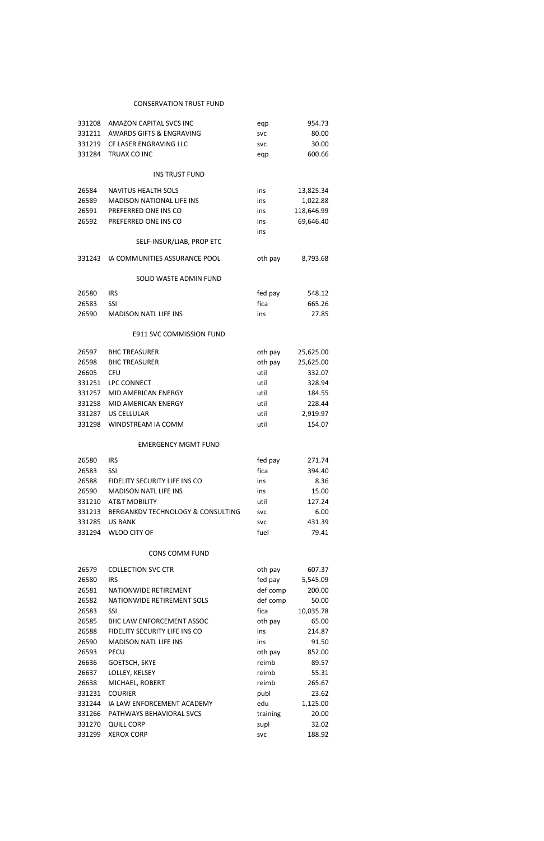#### **CONSERVATION TRUST FUND**

| 331208 | <b>AMAZON CAPITAL SVCS INC</b>      | eqp        | 954.73     |
|--------|-------------------------------------|------------|------------|
| 331211 | <b>AWARDS GIFTS &amp; ENGRAVING</b> | <b>SVC</b> | 80.00      |
| 331219 | CF LASER ENGRAVING LLC              | <b>SVC</b> | 30.00      |
| 331284 | TRUAX CO INC                        | eqp        | 600.66     |
|        |                                     |            |            |
|        | <b>INS TRUST FUND</b>               |            |            |
| 26584  | <b>NAVITUS HEALTH SOLS</b>          | ins        | 13,825.34  |
| 26589  | <b>MADISON NATIONAL LIFE INS</b>    | ins        | 1,022.88   |
| 26591  | PREFERRED ONE INS CO                | ins        | 118,646.99 |
| 26592  | PREFERRED ONE INS CO                | ins        | 69,646.40  |
|        |                                     | ins        |            |
|        | SELF-INSUR/LIAB, PROP ETC           |            |            |
| 331243 | IA COMMUNITIES ASSURANCE POOL       | oth pay    | 8,793.68   |
|        | SOLID WASTE ADMIN FUND              |            |            |
| 26580  | <b>IRS</b>                          | fed pay    | 548.12     |
| 26583  | <b>SSI</b>                          | fica       | 665.26     |
| 26590  | <b>MADISON NATL LIFE INS</b>        | ins        | 27.85      |
|        |                                     |            |            |
|        | E911 SVC COMMISSION FUND            |            |            |
| 26597  | <b>BHC TREASURER</b>                | oth pay    | 25,625.00  |
| 26598  | <b>BHC TREASURER</b>                | oth pay    | 25,625.00  |
| 26605  | <b>CFU</b>                          | util       | 332.07     |
| 331251 | LPC CONNECT                         | util       | 328.94     |
| 331257 | MID AMERICAN ENERGY                 | util       | 184.55     |
| 331258 | MID AMERICAN ENERGY                 | util       | 228.44     |
| 331287 | <b>US CELLULAR</b>                  | util       | 2,919.97   |
| 331298 | WINDSTREAM IA COMM                  | util       | 154.07     |
|        | <b>EMERGENCY MGMT FUND</b>          |            |            |
| 26580  | <b>IRS</b>                          | fed pay    | 271.74     |
| 26583  | SSI                                 | fica       | 394.40     |
| 26588  | FIDELITY SECURITY LIFE INS CO       | ins        | 8.36       |
| 26590  | <b>MADISON NATL LIFE INS</b>        | ins        | 15.00      |
| 331210 | <b>AT&amp;T MOBILITY</b>            | util       | 127.24     |
| 331213 | BERGANKDV TECHNOLOGY & CONSULTING   | <b>SVC</b> | 6.00       |
| 331285 | <b>US BANK</b>                      | <b>SVC</b> | 431.39     |
| 331294 | <b>WLOO CITY OF</b>                 | fuel       | 79.41      |
|        | <b>CONS COMM FUND</b>               |            |            |
|        |                                     |            |            |
| 26579  | <b>COLLECTION SVC CTR</b>           | oth pay    | 607.37     |
| 26580  | <b>IRS</b>                          | fed pay    | 5,545.09   |
| 26581  | NATIONWIDE RETIREMENT               | def comp   | 200.00     |

| 26585  | <b>BHC LAW ENFORCEMENT ASSOC</b> | oth pay    | 65.00    |
|--------|----------------------------------|------------|----------|
| 26588  | FIDELITY SECURITY LIFE INS CO    | ins        | 214.87   |
| 26590  | <b>MADISON NATL LIFE INS</b>     | ins        | 91.50    |
| 26593  | <b>PECU</b>                      | oth pay    | 852.00   |
| 26636  | GOETSCH, SKYE                    | reimb      | 89.57    |
| 26637  | LOLLEY, KELSEY                   | reimb      | 55.31    |
| 26638  | MICHAEL, ROBERT                  | reimb      | 265.67   |
| 331231 | <b>COURIER</b>                   | publ       | 23.62    |
| 331244 | IA LAW ENFORCEMENT ACADEMY       | edu        | 1,125.00 |
| 331266 | PATHWAYS BEHAVIORAL SVCS         | training   | 20.00    |
| 331270 | <b>QUILL CORP</b>                | supl       | 32.02    |
| 331299 | <b>XEROX CORP</b>                | <b>SVC</b> | 188.92   |

26582 NATIONWIDE RETIREMENT SOLS

26583 SSI

def comp 50.00

fica 10,035.78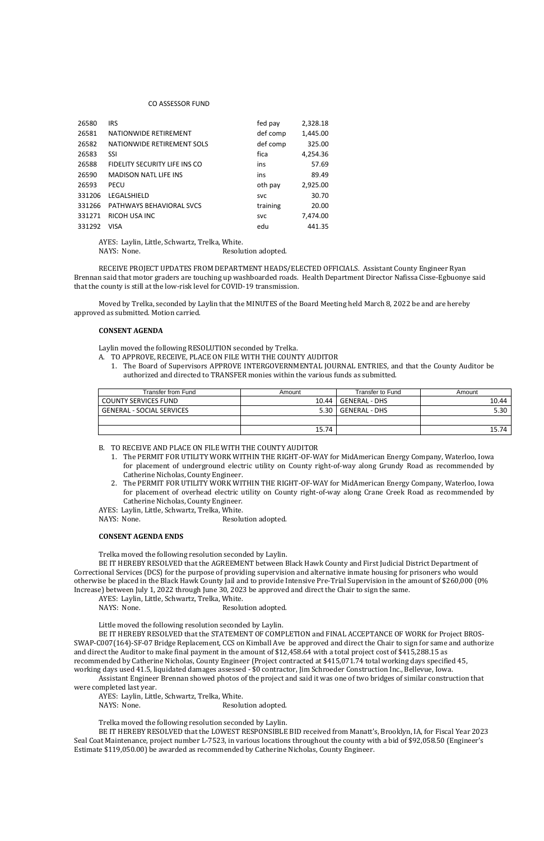#### CO ASSESSOR FUND

AYES: Laylin, Little, Schwartz, Trelka, White. NAYS: None. Resolution adopted.

| 26580  | <b>IRS</b>                      | fed pay    | 2,328.18 |
|--------|---------------------------------|------------|----------|
| 26581  | NATIONWIDE RETIREMENT           | def comp   | 1,445.00 |
| 26582  | NATIONWIDE RETIREMENT SOLS      | def comp   | 325.00   |
| 26583  | SSI                             | fica       | 4,254.36 |
| 26588  | FIDELITY SECURITY LIFE INS CO   | ins        | 57.69    |
| 26590  | <b>MADISON NATL LIFE INS</b>    | ins        | 89.49    |
| 26593  | <b>PECU</b>                     | oth pay    | 2,925.00 |
| 331206 | LEGALSHIELD                     | <b>SVC</b> | 30.70    |
| 331266 | <b>PATHWAYS BEHAVIORAL SVCS</b> | training   | 20.00    |
| 331271 | RICOH USA INC                   | <b>SVC</b> | 7,474.00 |
| 331292 | VISA                            | edu        | 441.35   |

RECEIVE PROJECT UPDATES FROM DEPARTMENT HEADS/ELECTED OFFICIALS. Assistant County Engineer Ryan Brennan said that motor graders are touching up washboarded roads. Health Department Director Nafissa Cisse-Egbuonye said that the county is still at the low-risk level for COVID-19 transmission.

Moved by Trelka, seconded by Laylin that the MINUTES of the Board Meeting held March 8, 2022 be and are hereby approved as submitted. Motion carried.

#### **CONSENT AGENDA**

Laylin moved the following RESOLUTION seconded by Trelka.

- A. TO APPROVE, RECEIVE, PLACE ON FILE WITH THE COUNTY AUDITOR
	- 1. The Board of Supervisors APPROVE INTERGOVERNMENTAL JOURNAL ENTRIES, and that the County Auditor be authorized and directed to TRANSFER monies within the various funds as submitted.

- B. TO RECEIVE AND PLACE ON FILE WITH THE COUNTY AUDITOR
	- 1. The PERMIT FOR UTILITY WORK WITHIN THE RIGHT-OF-WAY for MidAmerican Energy Company, Waterloo, Iowa for placement of underground electric utility on County right-of-way along Grundy Road as recommended by Catherine Nicholas, County Engineer.
	- 2. The PERMIT FOR UTILITY WORK WITHIN THE RIGHT-OF-WAY for MidAmerican Energy Company, Waterloo, Iowa for placement of overhead electric utility on County right-of-way along Crane Creek Road as recommended by Catherine Nicholas, County Engineer.

AYES: Laylin, Little, Schwartz, Trelka, White.

NAYS: None. Resolution adopted.

### **CONSENT AGENDA ENDS**

Trelka moved the following resolution seconded by Laylin.

BE IT HEREBY RESOLVED that the AGREEMENT between Black Hawk County and First Judicial District Department of Correctional Services (DCS) for the purpose of providing supervision and alternative inmate housing for prisoners who would otherwise be placed in the Black Hawk County Jail and to provide Intensive Pre-Trial Supervision in the amount of \$260,000 (0% Increase) between July 1, 2022 through June 30, 2023 be approved and direct the Chair to sign the same.

AYES: Laylin, Little, Schwartz, Trelka, White.

NAYS: None. Resolution adopted.

Little moved the following resolution seconded by Laylin.

BE IT HEREBY RESOLVED that the STATEMENT OF COMPLETION and FINAL ACCEPTANCE OF WORK for Project BROS-SWAP-C007(164)-SF-07 Bridge Replacement, CCS on Kimball Ave be approved and direct the Chair to sign for same and authorize and direct the Auditor to make final payment in the amount of \$12,458.64 with a total project cost of \$415,288.15 as recommended by Catherine Nicholas, County Engineer (Project contracted at \$415,071.74 total working days specified 45, working days used 41.5, liquidated damages assessed - \$0 contractor, Jim Schroeder Construction Inc., Bellevue, Iowa.

Assistant Engineer Brennan showed photos of the project and said it was one of two bridges of similar construction that were completed last year.

AYES: Laylin, Little, Schwartz, Trelka, White.

NAYS: None. Resolution adopted.

Trelka moved the following resolution seconded by Laylin.

BE IT HEREBY RESOLVED that the LOWEST RESPONSIBLE BID received from Manatt's, Brooklyn, IA, for Fiscal Year 2023 Seal Coat Maintenance, project number L-7523, in various locations throughout the county with a bid of \$92,058.50 (Engineer's Estimate \$119,050.00) be awarded as recommended by Catherine Nicholas, County Engineer.

| Transfer from Fund               | Amount  | Transfer to Fund | Amount  |
|----------------------------------|---------|------------------|---------|
| <b>COUNTY SERVICES FUND</b>      | $10.44$ | l GENERAL - DHS  | 10.44   |
| <b>GENERAL - SOCIAL SERVICES</b> | 5.30    | l GENERAL - DHS  | 5.30    |
|                                  |         |                  |         |
|                                  | 15.74   |                  | 15.74 l |